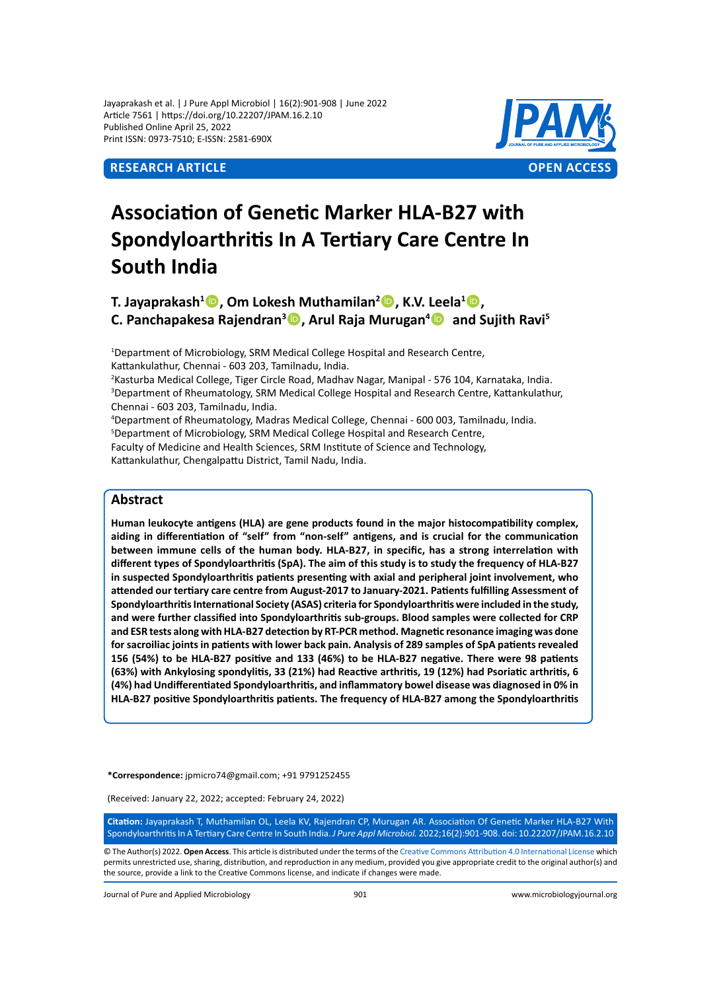Jayaprakash et al. | J Pure Appl Microbiol | 16(2):901-908 | June 2022 Article 7561 | https://doi.org/10.22207/JPAM.16.2.10 Published Online April 25, 2022 Print ISSN: 0973-7510; E-ISSN: 2581-690X



# **Association of Genetic Marker HLA-B27 with Spondyloarthritis In A Tertiary Care Centre In South India**

**T. Jayaprakash<sup>1</sup> , Om Lokesh Muthamilan2 , K.V. Leela1 , C. Panchapakesa Rajendran<sup>3</sup> , Arul Raja Murugan<sup>4</sup>** **and Sujith Ravi<sup>5</sup>**

<sup>1</sup>Department of Microbiology, SRM Medical College Hospital and Research Centre, Kattankulathur, Chennai - 603 203, Tamilnadu, India.

2 Kasturba Medical College, Tiger Circle Road, Madhav Nagar, Manipal - 576 104, Karnataka, India. 3 Department of Rheumatology, SRM Medical College Hospital and Research Centre, Kattankulathur, Chennai - 603 203, Tamilnadu, India.

4 Department of Rheumatology, Madras Medical College, Chennai - 600 003, Tamilnadu, India. 5 Department of Microbiology, SRM Medical College Hospital and Research Centre, Faculty of Medicine and Health Sciences, SRM Institute of Science and Technology,

Kattankulathur, Chengalpattu District, Tamil Nadu, India.

# **Abstract**

**Human leukocyte antigens (HLA) are gene products found in the major histocompatibility complex, aiding in differentiation of "self" from "non-self" antigens, and is crucial for the communication between immune cells of the human body. HLA-B27, in specific, has a strong interrelation with different types of Spondyloarthritis (SpA). The aim of this study is to study the frequency of HLA-B27 in suspected Spondyloarthritis patients presenting with axial and peripheral joint involvement, who attended our tertiary care centre from August-2017 to January-2021. Patients fulfilling Assessment of Spondyloarthritis International Society (ASAS) criteria for Spondyloarthritis were included in the study, and were further classified into Spondyloarthritis sub-groups. Blood samples were collected for CRP and ESR tests along with HLA-B27 detection by RT-PCR method. Magnetic resonance imaging was done for sacroiliac joints in patients with lower back pain. Analysis of 289 samples of SpA patients revealed 156 (54%) to be HLA-B27 positive and 133 (46%) to be HLA-B27 negative. There were 98 patients (63%) with Ankylosing spondylitis, 33 (21%) had Reactive arthritis, 19 (12%) had Psoriatic arthritis, 6 (4%) had Undifferentiated Spondyloarthritis, and inflammatory bowel disease was diagnosed in 0% in HLA-B27 positive Spondyloarthritis patients. The frequency of HLA-B27 among the Spondyloarthritis** 

**\*Correspondence:** jpmicro74@gmail.com; +91 9791252455

(Received: January 22, 2022; accepted: February 24, 2022)

**Citation:** Jayaprakash T, Muthamilan OL, Leela KV, Rajendran CP, Murugan AR. Association Of Genetic Marker HLA-B27 With Spondyloarthritis In A Tertiary Care Centre In South India. *J Pure Appl Microbiol.* 2022;16(2):901-908. doi: 10.22207/JPAM.16.2.10

© The Author(s) 2022. **Open Access**. This article is distributed under the terms of the [Creative Commons Attribution 4.0 International License](https://creativecommons.org/licenses/by/4.0/) which permits unrestricted use, sharing, distribution, and reproduction in any medium, provided you give appropriate credit to the original author(s) and the source, provide a link to the Creative Commons license, and indicate if changes were made.

Journal of Pure and Applied Microbiology 901 www.microbiologyjournal.org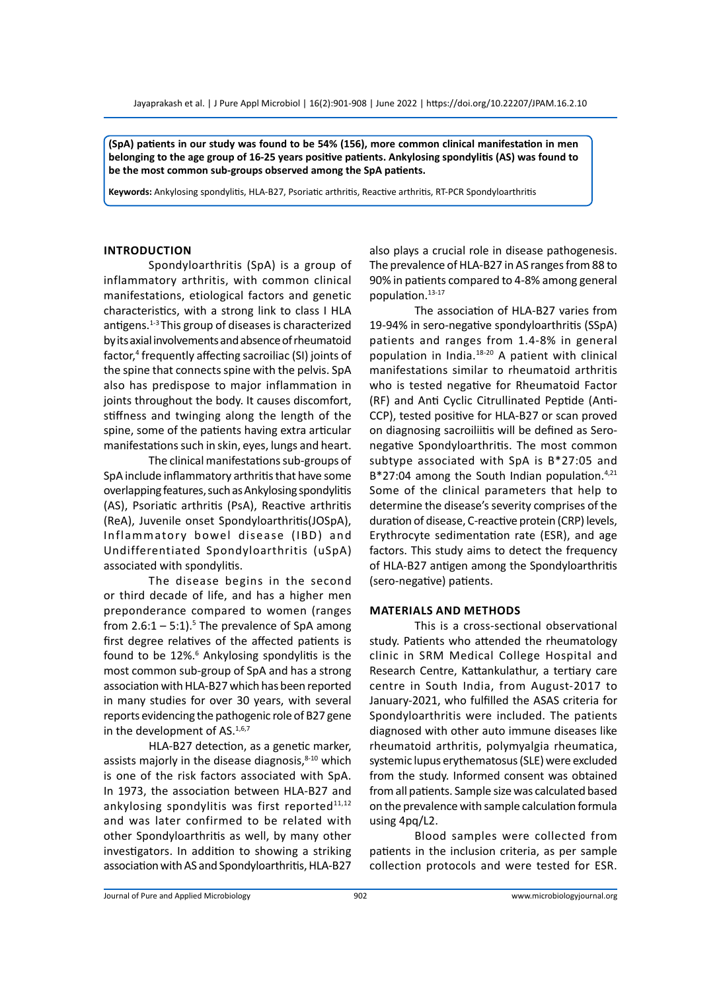**(SpA) patients in our study was found to be 54% (156), more common clinical manifestation in men belonging to the age group of 16-25 years positive patients. Ankylosing spondylitis (AS) was found to be the most common sub-groups observed among the SpA patients.**

**Keywords:** Ankylosing spondylitis, HLA-B27, Psoriatic arthritis, Reactive arthritis, RT-PCR Spondyloarthritis

#### **Introduction**

Spondyloarthritis (SpA) is a group of inflammatory arthritis, with common clinical manifestations, etiological factors and genetic characteristics, with a strong link to class I HLA antigens.1-3 This group of diseases is characterized by its axial involvements and absence of rheumatoid factor,<sup>4</sup> frequently affecting sacroiliac (SI) joints of the spine that connects spine with the pelvis. SpA also has predispose to major inflammation in joints throughout the body. It causes discomfort, stiffness and twinging along the length of the spine, some of the patients having extra articular manifestations such in skin, eyes, lungs and heart.

The clinical manifestations sub-groups of SpA include inflammatory arthritis that have some overlapping features, such as Ankylosing spondylitis (AS), Psoriatic arthritis (PsA), Reactive arthritis (ReA), Juvenile onset Spondyloarthritis(JOSpA), Inflammatory bowel disease (IBD) and Undifferentiated Spondyloarthritis (uSpA) associated with spondylitis.

The disease begins in the second or third decade of life, and has a higher men preponderance compared to women (ranges from  $2.6:1 - 5:1$ ).<sup>5</sup> The prevalence of SpA among first degree relatives of the affected patients is found to be 12%.<sup>6</sup> Ankylosing spondylitis is the most common sub-group of SpA and has a strong association with HLA-B27 which has been reported in many studies for over 30 years, with several reports evidencing the pathogenic role of B27 gene in the development of  $AS.1,6,7$ 

HLA-B27 detection, as a genetic marker, assists majorly in the disease diagnosis, $8-10$  which is one of the risk factors associated with SpA. In 1973, the association between HLA-B27 and ankylosing spondylitis was first reported $11,12$ and was later confirmed to be related with other Spondyloarthritis as well, by many other investigators. In addition to showing a striking association with AS and Spondyloarthritis, HLA-B27 also plays a crucial role in disease pathogenesis. The prevalence of HLA-B27 in AS ranges from 88 to 90% in patients compared to 4-8% among general population.<sup>13-17</sup>

The association of HLA-B27 varies from 19-94% in sero-negative spondyloarthritis (SSpA) patients and ranges from 1.4-8% in general population in India.18-20 A patient with clinical manifestations similar to rheumatoid arthritis who is tested negative for Rheumatoid Factor (RF) and Anti Cyclic Citrullinated Peptide (Anti-CCP), tested positive for HLA-B27 or scan proved on diagnosing sacroiliitis will be defined as Seronegative Spondyloarthritis. The most common subtype associated with SpA is B\*27:05 and B\*27:04 among the South Indian population.<sup>4,21</sup> Some of the clinical parameters that help to determine the disease's severity comprises of the duration of disease, C-reactive protein (CRP) levels, Erythrocyte sedimentation rate (ESR), and age factors. This study aims to detect the frequency of HLA-B27 antigen among the Spondyloarthritis (sero-negative) patients.

### **Materials and Methods**

This is a cross-sectional observational study. Patients who attended the rheumatology clinic in SRM Medical College Hospital and Research Centre, Kattankulathur, a tertiary care centre in South India, from August-2017 to January-2021, who fulfilled the ASAS criteria for Spondyloarthritis were included. The patients diagnosed with other auto immune diseases like rheumatoid arthritis, polymyalgia rheumatica, systemic lupus erythematosus (SLE) were excluded from the study. Informed consent was obtained from all patients. Sample size was calculated based on the prevalence with sample calculation formula using 4pq/L2.

Blood samples were collected from patients in the inclusion criteria, as per sample collection protocols and were tested for ESR.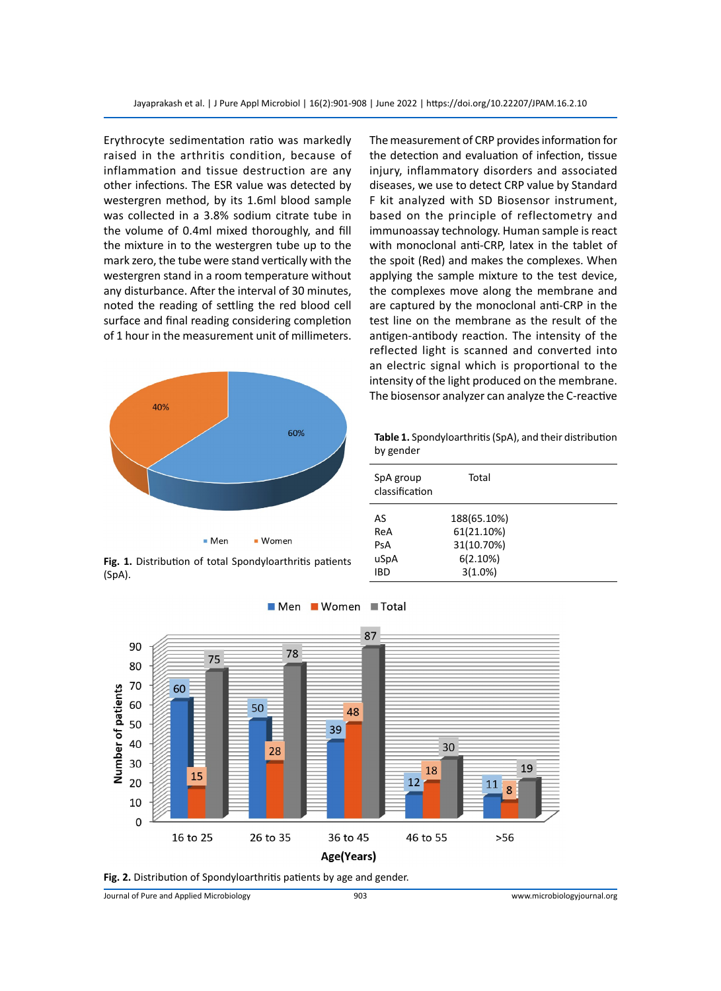Erythrocyte sedimentation ratio was markedly raised in the arthritis condition, because of inflammation and tissue destruction are any other infections. The ESR value was detected by westergren method, by its 1.6ml blood sample was collected in a 3.8% sodium citrate tube in the volume of 0.4ml mixed thoroughly, and fill the mixture in to the westergren tube up to the mark zero, the tube were stand vertically with the westergren stand in a room temperature without any disturbance. After the interval of 30 minutes, noted the reading of settling the red blood cell surface and final reading considering completion of 1 hour in the measurement unit of millimeters.



**Fig. 1.** Distribution of total Spondyloarthritis patients

(SpA).

The measurement of CRP provides information for the detection and evaluation of infection, tissue injury, inflammatory disorders and associated diseases, we use to detect CRP value by Standard F kit analyzed with SD Biosensor instrument, based on the principle of reflectometry and immunoassay technology. Human sample is react with monoclonal anti-CRP, latex in the tablet of the spoit (Red) and makes the complexes. When applying the sample mixture to the test device, the complexes move along the membrane and are captured by the monoclonal anti-CRP in the test line on the membrane as the result of the antigen-antibody reaction. The intensity of the reflected light is scanned and converted into an electric signal which is proportional to the intensity of the light produced on the membrane. The biosensor analyzer can analyze the C-reactive

**Table 1.** Spondyloarthritis (SpA), and their distribution by gender

| SpA group<br>classification | Total       |  |
|-----------------------------|-------------|--|
| AS                          | 188(65.10%) |  |
| ReA                         | 61(21.10%)  |  |
| PsA                         | 31(10.70%)  |  |
| uSpA                        | 6(2.10%)    |  |
| IBD                         | 3(1.0%)     |  |



**Fig. 2.** Distribution of Spondyloarthritis patients by age and gender.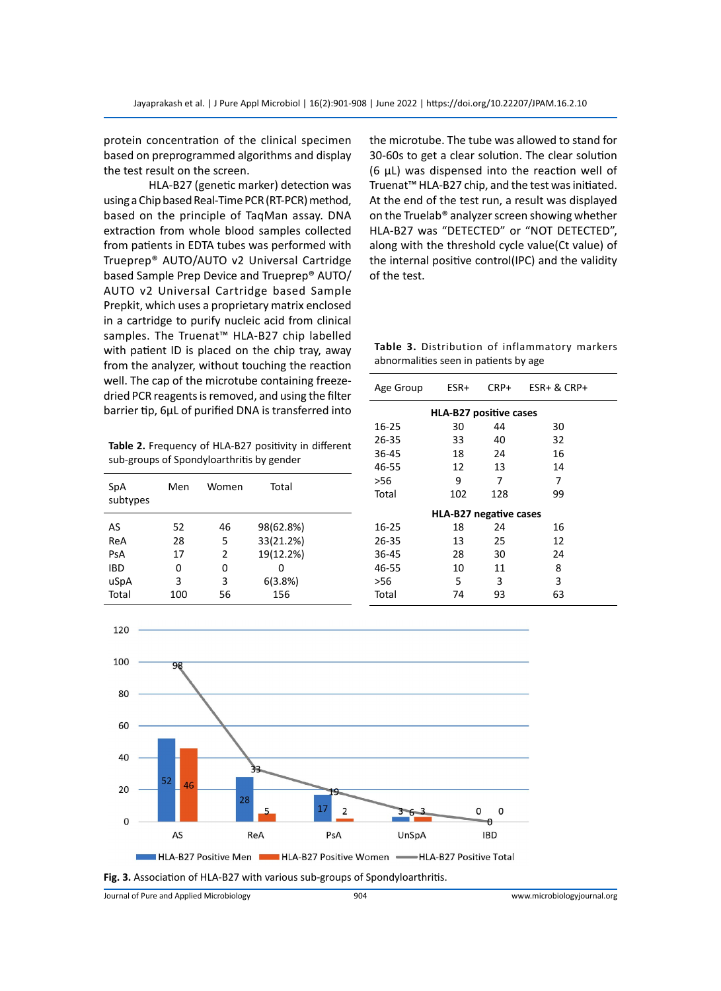protein concentration of the clinical specimen based on preprogrammed algorithms and display the test result on the screen.

HLA-B27 (genetic marker) detection was using a Chip based Real-Time PCR (RT-PCR) method, based on the principle of TaqMan assay. DNA extraction from whole blood samples collected from patients in EDTA tubes was performed with Trueprep® AUTO/AUTO v2 Universal Cartridge based Sample Prep Device and Trueprep® AUTO/ AUTO v2 Universal Cartridge based Sample Prepkit, which uses a proprietary matrix enclosed in a cartridge to purify nucleic acid from clinical samples. The Truenat™ HLA-B27 chip labelled with patient ID is placed on the chip tray, away from the analyzer, without touching the reaction well. The cap of the microtube containing freezedried PCR reagents is removed, and using the filter barrier tip, 6μL of purified DNA is transferred into

**Table 2.** Frequency of HLA-B27 positivity in different sub-groups of Spondyloarthritis by gender

|              | 46 |           |
|--------------|----|-----------|
| AS<br>52     |    | 98(62.8%) |
| 28<br>ReA    | 5  | 33(21.2%) |
| 17<br>PsA    | 2  | 19(12.2%) |
| IBD<br>0     | 0  | ი         |
| uSpA<br>3    | 3  | 6(3.8%)   |
| Total<br>100 | 56 | 156       |

the microtube. The tube was allowed to stand for 30-60s to get a clear solution. The clear solution (6 μL) was dispensed into the reaction well of Truenat™ HLA-B27 chip, and the test was initiated. At the end of the test run, a result was displayed on the Truelab® analyzer screen showing whether HLA-B27 was "DETECTED" or "NOT DETECTED", along with the threshold cycle value(Ct value) of the internal positive control(IPC) and the validity of the test.

**Table 3.** Distribution of inflammatory markers abnormalities seen in patients by age

| Age Group                     | ESR+ | CRP+ | $ESR + & CRP +$ |  |  |  |
|-------------------------------|------|------|-----------------|--|--|--|
| <b>HLA-B27 positive cases</b> |      |      |                 |  |  |  |
| 16-25                         | 30   | 44   | 30              |  |  |  |
| 26-35                         | 33   | 40   | 32              |  |  |  |
| 36-45                         | 18   | 24   | 16              |  |  |  |
| 46-55                         | 12   | 13   | 14              |  |  |  |
| >56                           | 9    | 7    | 7               |  |  |  |
| Total                         | 102  | 128  | 99              |  |  |  |
| <b>HLA-B27 negative cases</b> |      |      |                 |  |  |  |
| 16-25                         | 18   | 24   | 16              |  |  |  |
| 26-35                         | 13   | 25   | 12              |  |  |  |
| 36-45                         | 28   | 30   | 24              |  |  |  |
| 46-55                         | 10   | 11   | 8               |  |  |  |
| >56                           | 5    | 3    | 3               |  |  |  |
| Total                         | 74   | 93   | 63              |  |  |  |



**Fig. 3.** Association of HLA-B27 with various sub-groups of Spondyloarthritis.

Journal of Pure and Applied Microbiology 904 www.microbiologyjournal.org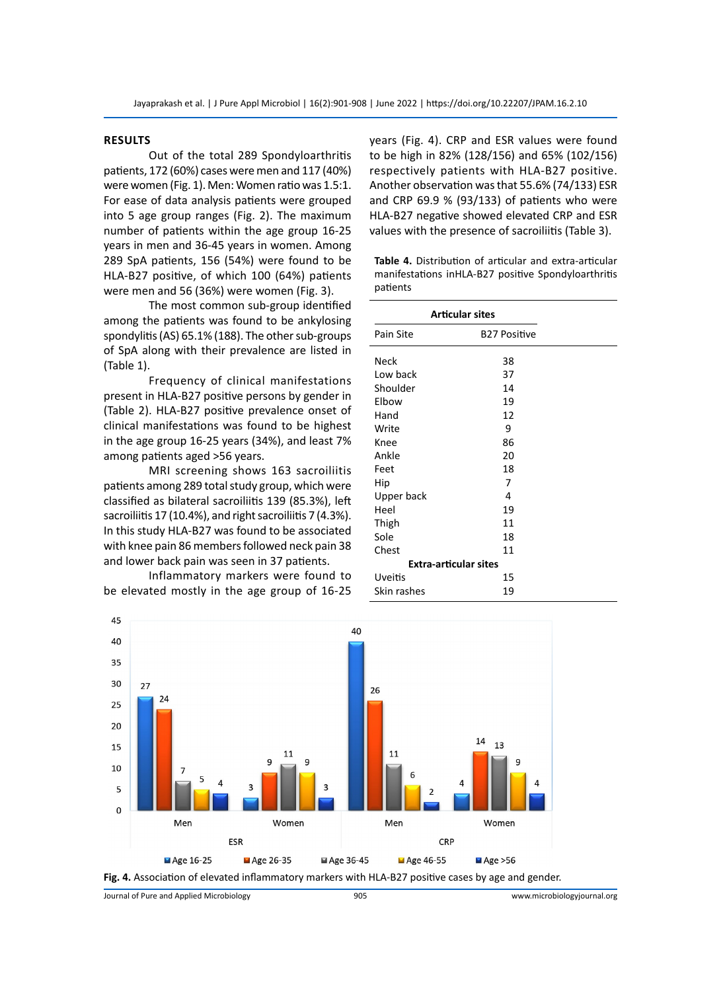# **ResultS**

Out of the total 289 Spondyloarthritis patients, 172 (60%) cases were men and 117 (40%) were women (Fig. 1). Men: Women ratio was 1.5:1. For ease of data analysis patients were grouped into 5 age group ranges (Fig. 2). The maximum number of patients within the age group 16-25 years in men and 36-45 years in women. Among 289 SpA patients, 156 (54%) were found to be HLA-B27 positive, of which 100 (64%) patients were men and 56 (36%) were women (Fig. 3).

The most common sub-group identified among the patients was found to be ankylosing spondylitis (AS) 65.1% (188). The other sub-groups of SpA along with their prevalence are listed in (Table 1).

Frequency of clinical manifestations present in HLA-B27 positive persons by gender in (Table 2). HLA-B27 positive prevalence onset of clinical manifestations was found to be highest in the age group 16-25 years (34%), and least 7% among patients aged >56 years.

MRI screening shows 163 sacroiliitis patients among 289 total study group, which were classified as bilateral sacroiliitis 139 (85.3%), left sacroiliitis 17 (10.4%), and right sacroiliitis 7 (4.3%). In this study HLA-B27 was found to be associated with knee pain 86 members followed neck pain 38 and lower back pain was seen in 37 patients.

Inflammatory markers were found to be elevated mostly in the age group of 16-25 years (Fig. 4). CRP and ESR values were found to be high in 82% (128/156) and 65% (102/156) respectively patients with HLA-B27 positive. Another observation was that 55.6% (74/133) ESR and CRP 69.9 % (93/133) of patients who were HLA-B27 negative showed elevated CRP and ESR values with the presence of sacroiliitis (Table 3).

**Table 4.** Distribution of articular and extra-articular manifestations inHLA-B27 positive Spondyloarthritis patients

| <b>Articular sites</b>       |                     |  |  |  |
|------------------------------|---------------------|--|--|--|
| Pain Site                    | <b>B27 Positive</b> |  |  |  |
| <b>Neck</b>                  | 38                  |  |  |  |
| Low back                     | 37                  |  |  |  |
| Shoulder                     | 14                  |  |  |  |
| Elbow                        | 19                  |  |  |  |
| Hand                         | 12                  |  |  |  |
| Write                        | 9                   |  |  |  |
| Knee                         | 86                  |  |  |  |
| Ankle                        | 20                  |  |  |  |
| Feet                         | 18                  |  |  |  |
| Hip                          | 7                   |  |  |  |
| Upper back                   | 4                   |  |  |  |
| Heel                         | 19                  |  |  |  |
| Thigh                        | 11                  |  |  |  |
| Sole                         | 18                  |  |  |  |
| Chest                        | 11                  |  |  |  |
| <b>Extra-articular sites</b> |                     |  |  |  |
| Uveitis                      | 15                  |  |  |  |
| Skin rashes                  | 19                  |  |  |  |



**Fig. 4.** Association of elevated inflammatory markers with HLA-B27 positive cases by age and gender.

Journal of Pure and Applied Microbiology 905 www.microbiologyjournal.org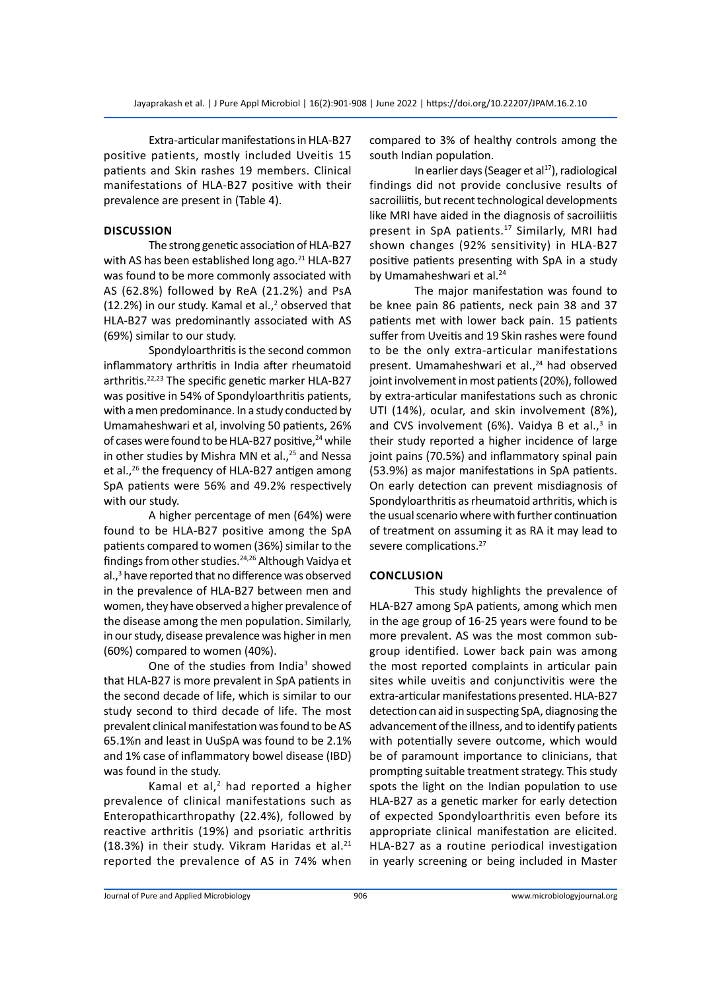Extra-articular manifestations in HLA-B27 positive patients, mostly included Uveitis 15 patients and Skin rashes 19 members. Clinical manifestations of HLA-B27 positive with their prevalence are present in (Table 4).

# **Discussion**

The strong genetic association of HLA-B27 with AS has been established long ago.<sup>21</sup> HLA-B27 was found to be more commonly associated with AS (62.8%) followed by ReA (21.2%) and PsA  $(12.2%)$  in our study. Kamal et al.,<sup>2</sup> observed that HLA-B27 was predominantly associated with AS (69%) similar to our study.

Spondyloarthritis is the second common inflammatory arthritis in India after rheumatoid arthritis.<sup>22,23</sup> The specific genetic marker HLA-B27 was positive in 54% of Spondyloarthritis patients, with a men predominance. In a study conducted by Umamaheshwari et al, involving 50 patients, 26% of cases were found to be HLA-B27 positive,<sup>24</sup> while in other studies by Mishra MN et al., $25$  and Nessa et al., $^{26}$  the frequency of HLA-B27 antigen among SpA patients were 56% and 49.2% respectively with our study.

A higher percentage of men (64%) were found to be HLA-B27 positive among the SpA patients compared to women (36%) similar to the findings from other studies.24,26 Although Vaidya et al.,<sup>3</sup> have reported that no difference was observed in the prevalence of HLA-B27 between men and women, they have observed a higher prevalence of the disease among the men population. Similarly, in our study, disease prevalence was higher in men (60%) compared to women (40%).

One of the studies from India<sup>3</sup> showed that HLA-B27 is more prevalent in SpA patients in the second decade of life, which is similar to our study second to third decade of life. The most prevalent clinical manifestation was found to be AS 65.1%n and least in UuSpA was found to be 2.1% and 1% case of inflammatory bowel disease (IBD) was found in the study.

Kamal et al, $<sup>2</sup>$  had reported a higher</sup> prevalence of clinical manifestations such as Enteropathicarthropathy (22.4%), followed by reactive arthritis (19%) and psoriatic arthritis (18.3%) in their study. Vikram Haridas et al. $21$ reported the prevalence of AS in 74% when

compared to 3% of healthy controls among the south Indian population.

In earlier days (Seager et al<sup>17</sup>), radiological findings did not provide conclusive results of sacroiliitis, but recent technological developments like MRI have aided in the diagnosis of sacroiliitis present in SpA patients.17 Similarly, MRI had shown changes (92% sensitivity) in HLA-B27 positive patients presenting with SpA in a study by Umamaheshwari et al.<sup>24</sup>

The major manifestation was found to be knee pain 86 patients, neck pain 38 and 37 patients met with lower back pain. 15 patients suffer from Uveitis and 19 Skin rashes were found to be the only extra-articular manifestations present. Umamaheshwari et al.,<sup>24</sup> had observed joint involvement in most patients (20%), followed by extra-articular manifestations such as chronic UTI (14%), ocular, and skin involvement (8%), and CVS involvement (6%). Vaidya B et al.,<sup>3</sup> in their study reported a higher incidence of large joint pains (70.5%) and inflammatory spinal pain (53.9%) as major manifestations in SpA patients. On early detection can prevent misdiagnosis of Spondyloarthritis as rheumatoid arthritis, which is the usual scenario where with further continuation of treatment on assuming it as RA it may lead to severe complications.<sup>27</sup>

# **Conclusion**

This study highlights the prevalence of HLA-B27 among SpA patients, among which men in the age group of 16-25 years were found to be more prevalent. AS was the most common subgroup identified. Lower back pain was among the most reported complaints in articular pain sites while uveitis and conjunctivitis were the extra-articular manifestations presented. HLA-B27 detection can aid in suspecting SpA, diagnosing the advancement of the illness, and to identify patients with potentially severe outcome, which would be of paramount importance to clinicians, that prompting suitable treatment strategy. This study spots the light on the Indian population to use HLA-B27 as a genetic marker for early detection of expected Spondyloarthritis even before its appropriate clinical manifestation are elicited. HLA-B27 as a routine periodical investigation in yearly screening or being included in Master

Journal of Pure and Applied Microbiology 906 www.microbiologyjournal.org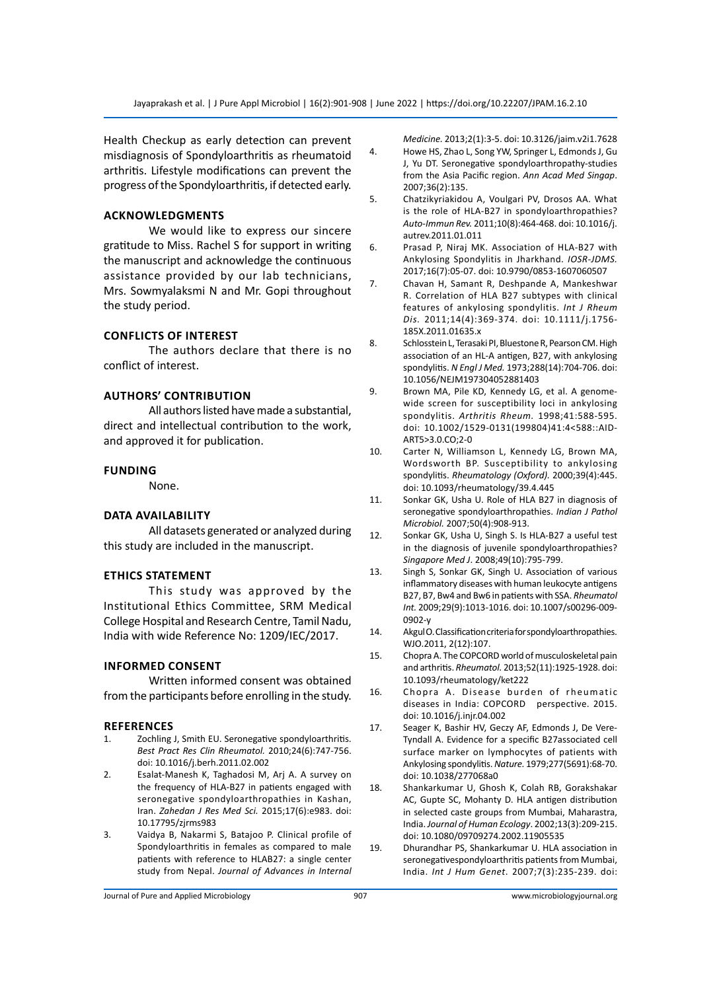Health Checkup as early detection can prevent misdiagnosis of Spondyloarthritis as rheumatoid arthritis. Lifestyle modifications can prevent the progress of the Spondyloarthritis, if detected early.

# **Acknowledgments**

We would like to express our sincere gratitude to Miss. Rachel S for support in writing the manuscript and acknowledge the continuous assistance provided by our lab technicians, Mrs. Sowmyalaksmi N and Mr. Gopi throughout the study period.

# **Conflicts of interest**

The authors declare that there is no conflict of interest.

### **AuthorS' contribution**

All authors listed have made a substantial, direct and intellectual contribution to the work, and approved it for publication.

#### **Funding**

None.

# **Data availability**

All datasets generated or analyzed during this study are included in the manuscript.

# **Ethics statement**

This study was approved by the Institutional Ethics Committee, SRM Medical College Hospital and Research Centre, Tamil Nadu, India with wide Reference No: 1209/IEC/2017.

# **Informed Consent**

Written informed consent was obtained from the participants before enrolling in the study.

#### **References**

- 1. Zochling J, Smith EU. Seronegative spondyloarthritis. *Best Pract Res Clin Rheumatol.* 2010;24(6):747-756. doi: 10.1016/j.berh.2011.02.002
- 2. Esalat-Manesh K, Taghadosi M, Arj A. A survey on the frequency of HLA-B27 in patients engaged with seronegative spondyloarthropathies in Kashan, Iran. *Zahedan J Res Med Sci.* 2015;17(6):e983. doi: 10.17795/zjrms983
- 3. Vaidya B, Nakarmi S, Batajoo P. Clinical profile of Spondyloarthritis in females as compared to male patients with reference to HLAB27: a single center study from Nepal. *Journal of Advances in Internal*

*Medicine.* 2013;2(1):3-5. doi: 10.3126/jaim.v2i1.7628

- 4. Howe HS, Zhao L, Song YW, Springer L, Edmonds J, Gu J, Yu DT. Seronegative spondyloarthropathy-studies from the Asia Pacific region. *Ann Acad Med Singap*. 2007;36(2):135.
- 5. Chatzikyriakidou A, Voulgari PV, Drosos AA. What is the role of HLA-B27 in spondyloarthropathies? *Auto-Immun Rev.* 2011;10(8):464-468. doi: 10.1016/j. autrev.2011.01.011
- 6. Prasad P, Niraj MK. Association of HLA-B27 with Ankylosing Spondylitis in Jharkhand. *IOSR-JDMS.* 2017;16(7):05-07. doi: 10.9790/0853-1607060507
- 7. Chavan H, Samant R, Deshpande A, Mankeshwar R. Correlation of HLA B27 subtypes with clinical features of ankylosing spondylitis. *Int J Rheum Dis.* 2011;14(4):369-374. doi: 10.1111/j.1756- 185X.2011.01635.x
- 8. Schlosstein L, Terasaki PI, Bluestone R, Pearson CM. High association of an HL-A antigen, B27, with ankylosing spondylitis. *N Engl J Med.* 1973;288(14):704-706. doi: 10.1056/NEJM197304052881403
- 9. Brown MA, Pile KD, Kennedy LG, et al. A genomewide screen for susceptibility loci in ankylosing spondylitis. *Arthritis Rheum.* 1998;41:588-595. doi: 10.1002/1529-0131(199804)41:4<588::AID-ART5>3.0.CO;2-0
- 10. Carter N, Williamson L, Kennedy LG, Brown MA, Wordsworth BP. Susceptibility to ankylosing spondylitis. *Rheumatology (Oxford).* 2000;39(4):445. doi: 10.1093/rheumatology/39.4.445
- 11. Sonkar GK, Usha U. Role of HLA B27 in diagnosis of seronegative spondyloarthropathies. *Indian J Pathol Microbiol.* 2007;50(4):908-913.
- 12. Sonkar GK, Usha U, Singh S. Is HLA-B27 a useful test in the diagnosis of juvenile spondyloarthropathies? *Singapore Med J*. 2008;49(10):795-799.
- 13. Singh S, Sonkar GK, Singh U. Association of various inflammatory diseases with human leukocyte antigens B27, B7, Bw4 and Bw6 in patients with SSA. *Rheumatol Int.* 2009;29(9):1013-1016. doi: 10.1007/s00296-009- 0902-y
- 14. Akgul O. Classification criteria for spondyloarthropathies. WJO.2011, 2(12):107.
- 15. Chopra A. The COPCORD world of musculoskeletal pain and arthritis. *Rheumatol.* 2013;52(11):1925-1928. doi: 10.1093/rheumatology/ket222
- 16. Chopra A. Disease burden of rheumatic diseases in India: COPCORD perspective. 2015. doi: 10.1016/j.injr.04.002
- 17. Seager K, Bashir HV, Geczy AF, Edmonds J, De Vere-Tyndall A. Evidence for a specific B27associated cell surface marker on lymphocytes of patients with Ankylosing spondylitis. *Nature.* 1979;277(5691):68-70. doi: 10.1038/277068a0
- 18. Shankarkumar U, Ghosh K, Colah RB, Gorakshakar AC, Gupte SC, Mohanty D. HLA antigen distribution in selected caste groups from Mumbai, Maharastra, India. *Journal of Human Ecology*. 2002;13(3):209-215. doi: 10.1080/09709274.2002.11905535
- 19. Dhurandhar PS, Shankarkumar U. HLA association in seronegativespondyloarthritis patients from Mumbai, India. *Int J Hum Genet*. 2007;7(3):235-239. doi: